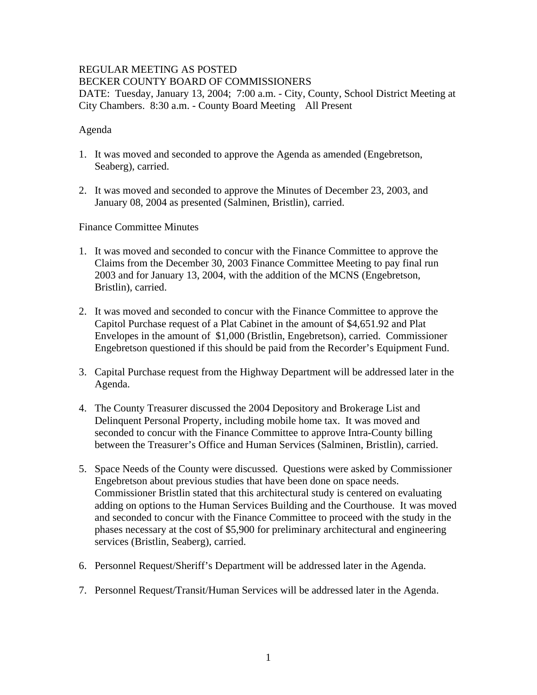### REGULAR MEETING AS POSTED BECKER COUNTY BOARD OF COMMISSIONERS DATE: Tuesday, January 13, 2004; 7:00 a.m. - City, County, School District Meeting at

City Chambers. 8:30 a.m. - County Board Meeting All Present

## Agenda

- 1. It was moved and seconded to approve the Agenda as amended (Engebretson, Seaberg), carried.
- 2. It was moved and seconded to approve the Minutes of December 23, 2003, and January 08, 2004 as presented (Salminen, Bristlin), carried.

Finance Committee Minutes

- 1. It was moved and seconded to concur with the Finance Committee to approve the Claims from the December 30, 2003 Finance Committee Meeting to pay final run 2003 and for January 13, 2004, with the addition of the MCNS (Engebretson, Bristlin), carried.
- 2. It was moved and seconded to concur with the Finance Committee to approve the Capitol Purchase request of a Plat Cabinet in the amount of \$4,651.92 and Plat Envelopes in the amount of \$1,000 (Bristlin, Engebretson), carried. Commissioner Engebretson questioned if this should be paid from the Recorder's Equipment Fund.
- 3. Capital Purchase request from the Highway Department will be addressed later in the Agenda.
- 4. The County Treasurer discussed the 2004 Depository and Brokerage List and Delinquent Personal Property, including mobile home tax. It was moved and seconded to concur with the Finance Committee to approve Intra-County billing between the Treasurer's Office and Human Services (Salminen, Bristlin), carried.
- 5. Space Needs of the County were discussed. Questions were asked by Commissioner Engebretson about previous studies that have been done on space needs. Commissioner Bristlin stated that this architectural study is centered on evaluating adding on options to the Human Services Building and the Courthouse. It was moved and seconded to concur with the Finance Committee to proceed with the study in the phases necessary at the cost of \$5,900 for preliminary architectural and engineering services (Bristlin, Seaberg), carried.
- 6. Personnel Request/Sheriff's Department will be addressed later in the Agenda.
- 7. Personnel Request/Transit/Human Services will be addressed later in the Agenda.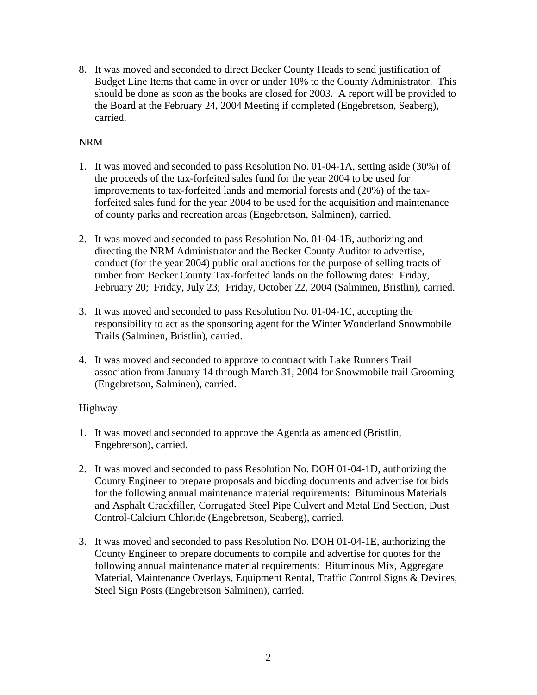8. It was moved and seconded to direct Becker County Heads to send justification of Budget Line Items that came in over or under 10% to the County Administrator. This should be done as soon as the books are closed for 2003. A report will be provided to the Board at the February 24, 2004 Meeting if completed (Engebretson, Seaberg), carried.

# NRM

- 1. It was moved and seconded to pass Resolution No. 01-04-1A, setting aside (30%) of the proceeds of the tax-forfeited sales fund for the year 2004 to be used for improvements to tax-forfeited lands and memorial forests and (20%) of the taxforfeited sales fund for the year 2004 to be used for the acquisition and maintenance of county parks and recreation areas (Engebretson, Salminen), carried.
- 2. It was moved and seconded to pass Resolution No. 01-04-1B, authorizing and directing the NRM Administrator and the Becker County Auditor to advertise, conduct (for the year 2004) public oral auctions for the purpose of selling tracts of timber from Becker County Tax-forfeited lands on the following dates: Friday, February 20; Friday, July 23; Friday, October 22, 2004 (Salminen, Bristlin), carried.
- 3. It was moved and seconded to pass Resolution No. 01-04-1C, accepting the responsibility to act as the sponsoring agent for the Winter Wonderland Snowmobile Trails (Salminen, Bristlin), carried.
- 4. It was moved and seconded to approve to contract with Lake Runners Trail association from January 14 through March 31, 2004 for Snowmobile trail Grooming (Engebretson, Salminen), carried.

## Highway

- 1. It was moved and seconded to approve the Agenda as amended (Bristlin, Engebretson), carried.
- 2. It was moved and seconded to pass Resolution No. DOH 01-04-1D, authorizing the County Engineer to prepare proposals and bidding documents and advertise for bids for the following annual maintenance material requirements: Bituminous Materials and Asphalt Crackfiller, Corrugated Steel Pipe Culvert and Metal End Section, Dust Control-Calcium Chloride (Engebretson, Seaberg), carried.
- 3. It was moved and seconded to pass Resolution No. DOH 01-04-1E, authorizing the County Engineer to prepare documents to compile and advertise for quotes for the following annual maintenance material requirements: Bituminous Mix, Aggregate Material, Maintenance Overlays, Equipment Rental, Traffic Control Signs & Devices, Steel Sign Posts (Engebretson Salminen), carried.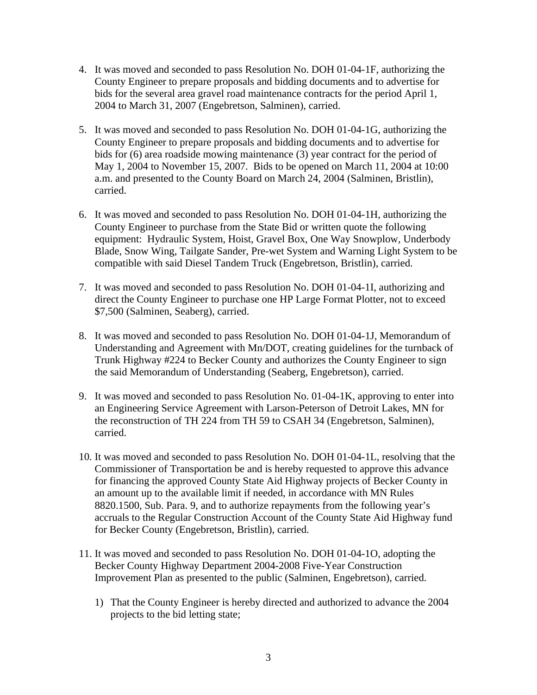- 4. It was moved and seconded to pass Resolution No. DOH 01-04-1F, authorizing the County Engineer to prepare proposals and bidding documents and to advertise for bids for the several area gravel road maintenance contracts for the period April 1, 2004 to March 31, 2007 (Engebretson, Salminen), carried.
- 5. It was moved and seconded to pass Resolution No. DOH 01-04-1G, authorizing the County Engineer to prepare proposals and bidding documents and to advertise for bids for (6) area roadside mowing maintenance (3) year contract for the period of May 1, 2004 to November 15, 2007. Bids to be opened on March 11, 2004 at 10:00 a.m. and presented to the County Board on March 24, 2004 (Salminen, Bristlin), carried.
- 6. It was moved and seconded to pass Resolution No. DOH 01-04-1H, authorizing the County Engineer to purchase from the State Bid or written quote the following equipment: Hydraulic System, Hoist, Gravel Box, One Way Snowplow, Underbody Blade, Snow Wing, Tailgate Sander, Pre-wet System and Warning Light System to be compatible with said Diesel Tandem Truck (Engebretson, Bristlin), carried.
- 7. It was moved and seconded to pass Resolution No. DOH 01-04-1I, authorizing and direct the County Engineer to purchase one HP Large Format Plotter, not to exceed \$7,500 (Salminen, Seaberg), carried.
- 8. It was moved and seconded to pass Resolution No. DOH 01-04-1J, Memorandum of Understanding and Agreement with Mn/DOT, creating guidelines for the turnback of Trunk Highway #224 to Becker County and authorizes the County Engineer to sign the said Memorandum of Understanding (Seaberg, Engebretson), carried.
- 9. It was moved and seconded to pass Resolution No. 01-04-1K, approving to enter into an Engineering Service Agreement with Larson-Peterson of Detroit Lakes, MN for the reconstruction of TH 224 from TH 59 to CSAH 34 (Engebretson, Salminen), carried.
- 10. It was moved and seconded to pass Resolution No. DOH 01-04-1L, resolving that the Commissioner of Transportation be and is hereby requested to approve this advance for financing the approved County State Aid Highway projects of Becker County in an amount up to the available limit if needed, in accordance with MN Rules 8820.1500, Sub. Para. 9, and to authorize repayments from the following year's accruals to the Regular Construction Account of the County State Aid Highway fund for Becker County (Engebretson, Bristlin), carried.
- 11. It was moved and seconded to pass Resolution No. DOH 01-04-1O, adopting the Becker County Highway Department 2004-2008 Five-Year Construction Improvement Plan as presented to the public (Salminen, Engebretson), carried.
	- 1) That the County Engineer is hereby directed and authorized to advance the 2004 projects to the bid letting state;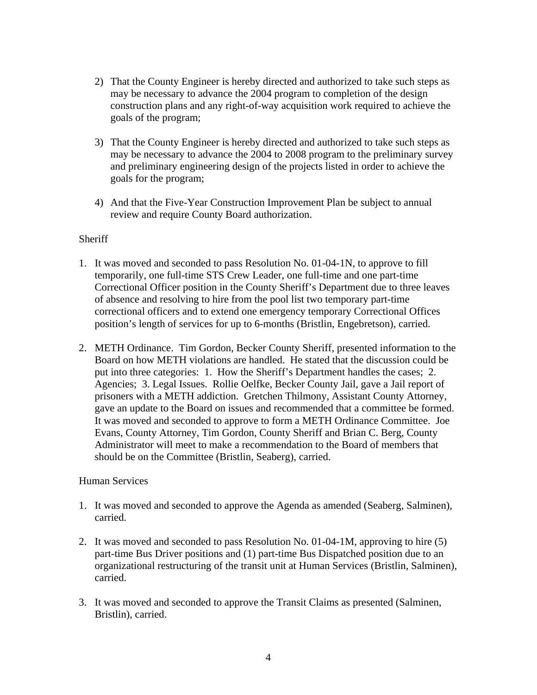- 2) That the County Engineer is hereby directed and authorized to take such steps as may be necessary to advance the 2004 program to completion of the design construction plans and any right-of-way acquisition work required to achieve the goals of the program;
- 3) That the County Engineer is hereby directed and authorized to take such steps as may be necessary to advance the 2004 to 2008 program to the preliminary survey and preliminary engineering design of the projects listed in order to achieve the goals for the program;
- 4) And that the Five-Year Construction Improvement Plan be subject to annual review and require County Board authorization.

## **Sheriff**

- 1. It was moved and seconded to pass Resolution No. 01-04-1N, to approve to fill temporarily, one full-time STS Crew Leader, one full-time and one part-time Correctional Officer position in the County Sheriff's Department due to three leaves of absence and resolving to hire from the pool list two temporary part-time correctional officers and to extend one emergency temporary Correctional Offices position's length of services for up to 6-months (Bristlin, Engebretson), carried.
- 2. METH Ordinance. Tim Gordon, Becker County Sheriff, presented information to the Board on how METH violations are handled. He stated that the discussion could be put into three categories: 1. How the Sheriff's Department handles the cases; 2. Agencies; 3. Legal Issues. Rollie Oelfke, Becker County Jail, gave a Jail report of prisoners with a METH addiction. Gretchen Thilmony, Assistant County Attorney, gave an update to the Board on issues and recommended that a committee be formed. It was moved and seconded to approve to form a METH Ordinance Committee. Joe Evans, County Attorney, Tim Gordon, County Sheriff and Brian C. Berg, County Administrator will meet to make a recommendation to the Board of members that should be on the Committee (Bristlin, Seaberg), carried.

### Human Services

- 1. It was moved and seconded to approve the Agenda as amended (Seaberg, Salminen), carried.
- 2. It was moved and seconded to pass Resolution No. 01-04-1M, approving to hire (5) part-time Bus Driver positions and (1) part-time Bus Dispatched position due to an organizational restructuring of the transit unit at Human Services (Bristlin, Salminen), carried.
- 3. It was moved and seconded to approve the Transit Claims as presented (Salminen, Bristlin), carried.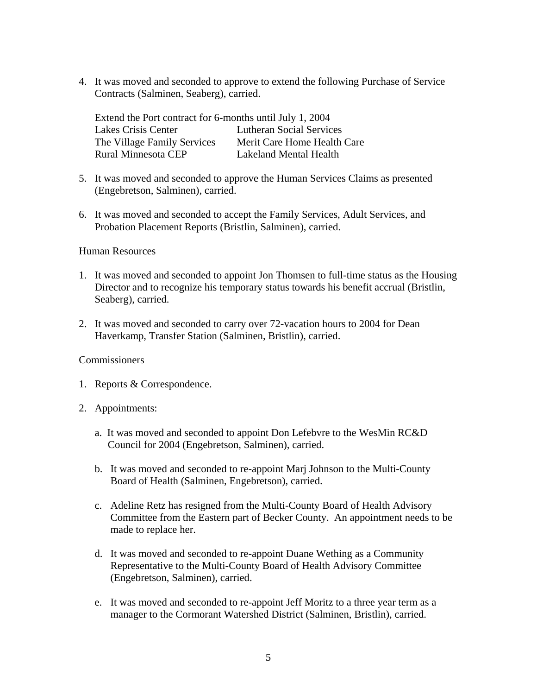4. It was moved and seconded to approve to extend the following Purchase of Service Contracts (Salminen, Seaberg), carried.

| Extend the Port contract for 6-months until July 1, 2004 |                                 |
|----------------------------------------------------------|---------------------------------|
| Lakes Crisis Center                                      | <b>Lutheran Social Services</b> |
| The Village Family Services                              | Merit Care Home Health Care     |
| <b>Rural Minnesota CEP</b>                               | Lakeland Mental Health          |

- 5. It was moved and seconded to approve the Human Services Claims as presented (Engebretson, Salminen), carried.
- 6. It was moved and seconded to accept the Family Services, Adult Services, and Probation Placement Reports (Bristlin, Salminen), carried.

#### Human Resources

- 1. It was moved and seconded to appoint Jon Thomsen to full-time status as the Housing Director and to recognize his temporary status towards his benefit accrual (Bristlin, Seaberg), carried.
- 2. It was moved and seconded to carry over 72-vacation hours to 2004 for Dean Haverkamp, Transfer Station (Salminen, Bristlin), carried.

#### Commissioners

- 1. Reports & Correspondence.
- 2. Appointments:
	- a. It was moved and seconded to appoint Don Lefebvre to the WesMin RC&D Council for 2004 (Engebretson, Salminen), carried.
	- b. It was moved and seconded to re-appoint Marj Johnson to the Multi-County Board of Health (Salminen, Engebretson), carried.
	- c. Adeline Retz has resigned from the Multi-County Board of Health Advisory Committee from the Eastern part of Becker County. An appointment needs to be made to replace her.
	- d. It was moved and seconded to re-appoint Duane Wething as a Community Representative to the Multi-County Board of Health Advisory Committee (Engebretson, Salminen), carried.
	- e. It was moved and seconded to re-appoint Jeff Moritz to a three year term as a manager to the Cormorant Watershed District (Salminen, Bristlin), carried.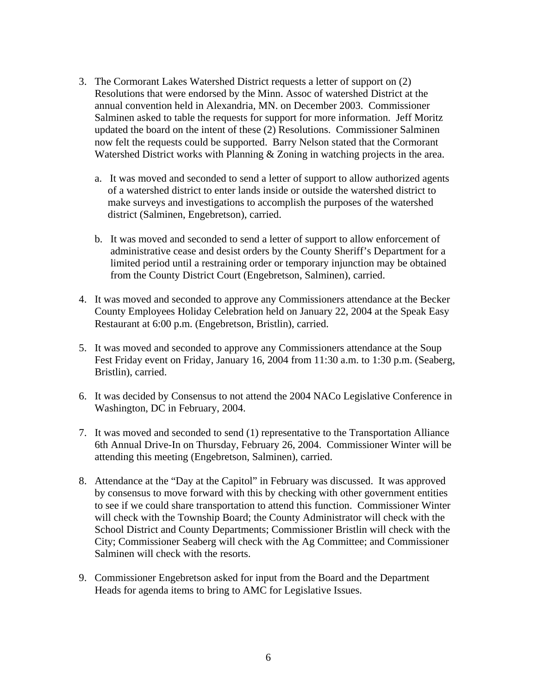- 3. The Cormorant Lakes Watershed District requests a letter of support on (2) Resolutions that were endorsed by the Minn. Assoc of watershed District at the annual convention held in Alexandria, MN. on December 2003. Commissioner Salminen asked to table the requests for support for more information. Jeff Moritz updated the board on the intent of these (2) Resolutions. Commissioner Salminen now felt the requests could be supported. Barry Nelson stated that the Cormorant Watershed District works with Planning & Zoning in watching projects in the area.
	- a. It was moved and seconded to send a letter of support to allow authorized agents of a watershed district to enter lands inside or outside the watershed district to make surveys and investigations to accomplish the purposes of the watershed district (Salminen, Engebretson), carried.
	- b. It was moved and seconded to send a letter of support to allow enforcement of administrative cease and desist orders by the County Sheriff's Department for a limited period until a restraining order or temporary injunction may be obtained from the County District Court (Engebretson, Salminen), carried.
- 4. It was moved and seconded to approve any Commissioners attendance at the Becker County Employees Holiday Celebration held on January 22, 2004 at the Speak Easy Restaurant at 6:00 p.m. (Engebretson, Bristlin), carried.
- 5. It was moved and seconded to approve any Commissioners attendance at the Soup Fest Friday event on Friday, January 16, 2004 from 11:30 a.m. to 1:30 p.m. (Seaberg, Bristlin), carried.
- 6. It was decided by Consensus to not attend the 2004 NACo Legislative Conference in Washington, DC in February, 2004.
- 7. It was moved and seconded to send (1) representative to the Transportation Alliance 6th Annual Drive-In on Thursday, February 26, 2004. Commissioner Winter will be attending this meeting (Engebretson, Salminen), carried.
- 8. Attendance at the "Day at the Capitol" in February was discussed. It was approved by consensus to move forward with this by checking with other government entities to see if we could share transportation to attend this function. Commissioner Winter will check with the Township Board; the County Administrator will check with the School District and County Departments; Commissioner Bristlin will check with the City; Commissioner Seaberg will check with the Ag Committee; and Commissioner Salminen will check with the resorts.
- 9. Commissioner Engebretson asked for input from the Board and the Department Heads for agenda items to bring to AMC for Legislative Issues.